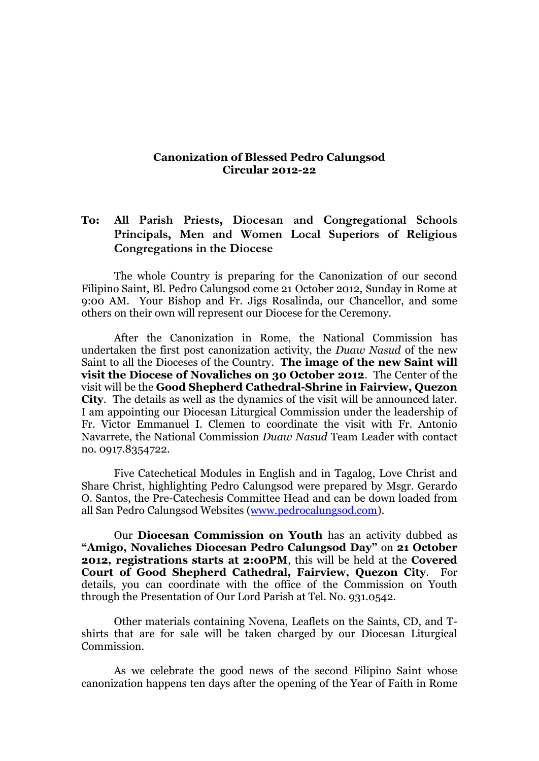## **Canonization of Blessed Pedro Calungsod Circular 2012-22**

## **To: All Parish Priests, Diocesan and Congregational Schools Principals, Men and Women Local Superiors of Religious Congregations in the Diocese**

The whole Country is preparing for the Canonization of our second Filipino Saint, Bl. Pedro Calungsod come 21 October 2012, Sunday in Rome at 9:00 AM. Your Bishop and Fr. Jigs Rosalinda, our Chancellor, and some others on their own will represent our Diocese for the Ceremony.

After the Canonization in Rome, the National Commission has undertaken the first post canonization activity, the *Duaw Nasud* of the new Saint to all the Dioceses of the Country. **The image of the new Saint will visit the Diocese of Novaliches on 30 October 2012**. The Center of the visit will be the **Good Shepherd Cathedral-Shrine in Fairview, Quezon City**. The details as well as the dynamics of the visit will be announced later. I am appointing our Diocesan Liturgical Commission under the leadership of Fr. Victor Emmanuel I. Clemen to coordinate the visit with Fr. Antonio Navarrete, the National Commission *Duaw Nasud* Team Leader with contact no. 0917.8354722.

Five Catechetical Modules in English and in Tagalog, Love Christ and Share Christ, highlighting Pedro Calungsod were prepared by Msgr. Gerardo O. Santos, the Pre-Catechesis Committee Head and can be down loaded from all San Pedro Calungsod Websites [\(www.pedrocalungsod.com\)](http://www.pedrocalungsod.com/).

Our **Diocesan Commission on Youth** has an activity dubbed as **"Amigo, Novaliches Diocesan Pedro Calungsod Day"** on **21 October 2012, registrations starts at 2:00PM**, this will be held at the **Covered Court of Good Shepherd Cathedral, Fairview, Quezon City**. For details, you can coordinate with the office of the Commission on Youth through the Presentation of Our Lord Parish at Tel. No. 931.0542.

Other materials containing Novena, Leaflets on the Saints, CD, and Tshirts that are for sale will be taken charged by our Diocesan Liturgical Commission.

As we celebrate the good news of the second Filipino Saint whose canonization happens ten days after the opening of the Year of Faith in Rome